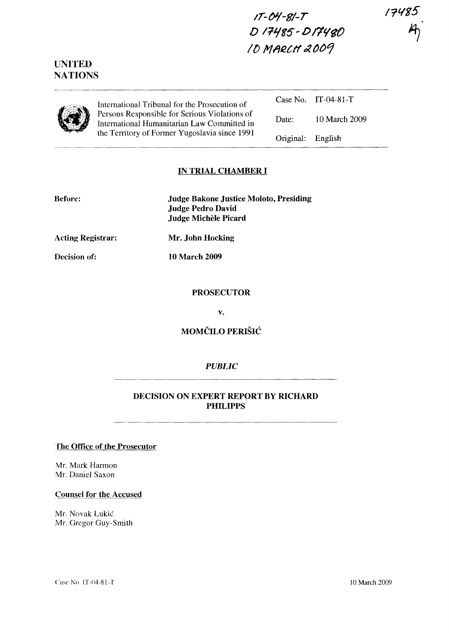17485



# **UNITED NATIONS**

|--|

International Tribunal for the Prosecution of Persons Responsible for Serious Violations of International Humanitarian Law Committed in the Territory of Former Yugoslavia since 1991

|                   | Case No. $IT-04-81-T$ |
|-------------------|-----------------------|
| Date:             | 10 March 2009         |
| Original: English |                       |

# **IN TRIAL CHAMBER I**

| <b>Judge Bakone Justice Moloto, Presiding</b> |
|-----------------------------------------------|
| Judge Pedro David                             |
| Judge Michèle Picard                          |

**Acting Registrar:**

**Mr. John Hocking**

**Decision of:**

**Before:**

**10 March 2009**

#### **PROSECUTOR**

**v.**

**MOMČILO PERIŠIĆ** 

# *PUBLIC*

### **DECISION ON EXPERT REPORT BY RICHARD PHILIPPS**

#### .**[he Office of the Prosecutor**

Mr. Mark Harmon Mr. Daniel Saxon

#### **Counsel for the Accused**

Mr. Novak Lukic Mr. Gregor Guy-Smith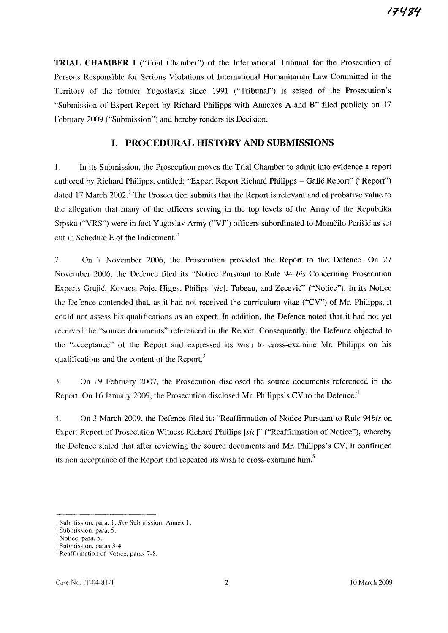**TRIAL CHAMBER I** ("Trial Chamber") of the International Tribunal for the Prosecution of Persons Responsible for Serious Violations of International Humanitarian Law Committed in the Territory of the former Yugoslavia since 1991 ("Tribunal") is seised of the Prosecution's "Submission of Expert Report by Richard Philipps with Annexes A and B" filed publicly on 17 February 2009 ("Submission") and hereby renders its Decision.

### **I. PROCEDURAL HISTORY AND SUBMISSIONS**

1. In its Submission, the Prosecution moves the Trial Chamber to admit into evidence a report authored by Richard Philipps, entitled: "Expert Report Richard Philipps - Galic Report" ("Report") dated 17 March 2002.<sup>1</sup> The Prosecution submits that the Report is relevant and of probative value to the allegation that many of the officers serving in the top levels of the Army of the Republika Srpska ("VRS") were in fact Yugoslav Army ("VI") officers subordinated to Momcilo Perisic as set out in Schedule E of the Indictment. <sup>2</sup>

2. On 7 November 2006, the Prosecution provided the Report to the Defence. On 27 November 2006, the Defence filed its "Notice Pursuant to Rule 94 bis Concerning Prosecution Experts Grujic, Kovacs, Poje, Higgs, Philips [sic], Tabeau, and Zecevic" ("Notice"). In its Notice the Defence contended that, as it had not received the curriculum vitae ("CV") of Mr. Philipps, it could not assess his qualifications as an expert. In addition, the Defence noted that it had not yet received the "source documents" referenced in the Report. Consequently, the Defence objected to the "acceptance" of the Report and expressed its wish to cross-examine Mr. Philipps on his qualifications and the content of the Report.'

3. On 19 February 2007, the Prosecution disclosed the source documents referenced in the Report. On 16 January 2009, the Prosecution disclosed Mr. Philipps's CV to the Defence.<sup>4</sup>

4. On 3 March 2009, the Defence filed its "Reaffirmation of Notice Pursuant to Rule 94bis on Expert Report of Prosecution Witness Richard Phillips [sic)" ("Reaffirmation of Notice"), whereby the Defence stated that after reviewing the source documents and Mr. Philipps's CV, it confirmed its non acceptance of the Report and repeated its wish to cross-examine him.<sup>5</sup>

Submission, para. 1. See Submission, Annex 1.

Submission, para. 5.

Notice, para. 5.

Submission, paras 3-4.

Reaffirmation of Notice, paras 7-8.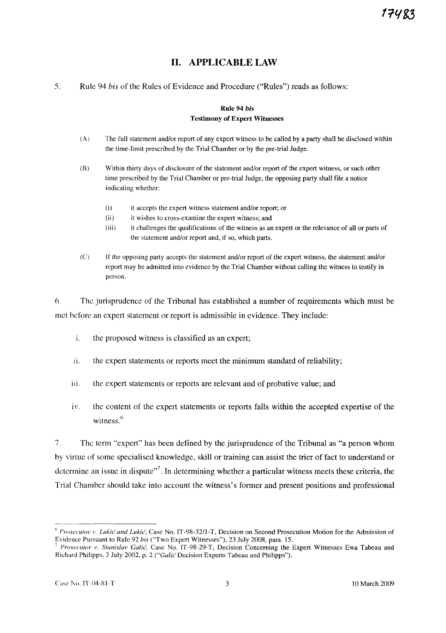# **II. APPLICABLE LAW**

5. Rule 94 *his* of the Rules of Evidence and Procedure ("Rules") reads as follows:

#### **Rule** 94 *bis* Testimony of Expert Witnesses

- (A) The full statement and/or report of any expert witness to be called by a party shall be disclosed within the time-limit prescribed by the Trial Chamber or by the pre-trial Judge.
- (8) Within thirty days of disclosure of the statement and/or report of the expert witness, or such other time prescribed by the Trial Chamber or pre-trial Judge, the opposing party shall file a notice indicating whether:
	- (i) it accepts the expert witness statement and/or report; or
	- (ii) it wishes to cross-examine the expert witness; and
	- (iii) it challenges the qualifications of the witness as an expert or the relevance of all or parts of the statement and/or report and, if so, which parts.
- (C) If the opposing party accepts the statement and/or report of the expert witness, the statement and/or report may be admitted into evidence by the Trial Chamber without calling the witness to testify in person.

6. The jurisprudence of the Tribunal has established a number of requirements which must be met before an expert statement or report is admissible in evidence. They include:

- 1. the proposed witness is classified as an expert;
- ii. the expert statements or reports meet the minimum standard of reliability;
- iii. the expert statements or reports are relevant and of probative value; and
- iv. the content of the expert statements or reports falls within the accepted expertise of the witness. $6$

7. The term "expert" has been defined by the jurisprudence of the Tribunal as "a person whom by virtue of some specialised knowledge, skill or training can assist the trier of fact to understand or determine an issue in dispute"<sup>7</sup>. In determining whether a particular witness meets these criteria, the Trial Chamber should take into account the witness's former and present positions and professional

<sup>6</sup> *Prosecutor* r, *Lukic and Lukic,* Case No. IT-98-32/1-T, Decision on Second Prosecution Motion for the Admission of Evidence Pursuant to Rule 92 *his* ("Two Expert Witnesses"), 23 July 2008, para. 15.

*Prosecutor* v. *Stanislav Galić*, Case No. IT-98-29-T, Decision Concerning the Expert Witnesses Ewa Tabeau and Richard Philipps, 3 July 2002, p. 2 ("Galic Decision Experts Tabeau and Philipps").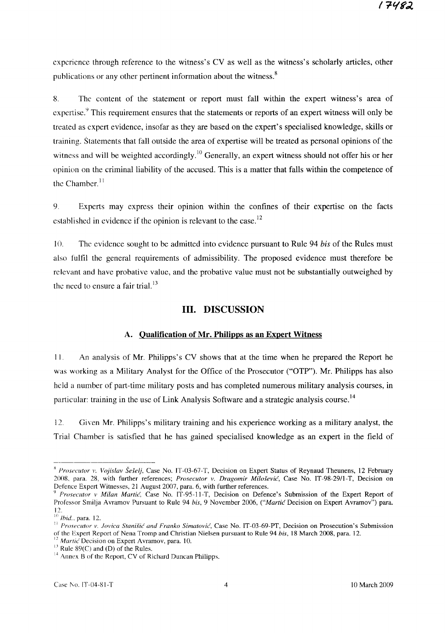experience through reference to the witness's CV as well as the witness's scholarly articles, other publications or any other pertinent information about the witness.<sup>8</sup>

8. The content of the statement or report must fall within the expert witness's area of expertise.<sup>9</sup> This requirement ensures that the statements or reports of an expert witness will only be treated as expert evidence, insofar as they are based on the expert's specialised knowledge, skills or training. Statements that fall outside the area of expertise will be treated as personal opinions of the witness and will be weighted accordingly.<sup>10</sup> Generally, an expert witness should not offer his or her opinion on the criminal liability of the accused. This is a matter that falls within the competence of the Chamber. $<sup>11</sup>$ </sup>

9. Experts may express their opinion within the confines of their expertise on the facts established in evidence if the opinion is relevant to the case.<sup>12</sup>

lO. The evidence sought to be admitted into evidence pursuant to Rule 94 *his* of the Rules must also fulfil the general requirements of admissibility. The proposed evidence must therefore be relevant and have probative value, and the probative value must not be substantially outweighed by the need to ensure a fair trial. $^{13}$ 

#### **III. DISCUSSION**

#### **A. Qualification of Mr. Philipps as an Expert Witness**

II. An analysis of Mr. Philipps's CV shows that at the time when he prepared the Report he was working as a Military Analyst for the Office of the Prosecutor ("OTP"). Mr. Philipps has also held a number of part-time military posts and has completed numerous military analysis courses, in particular: training in the use of Link Analysis Software and a strategic analysis course.<sup>14</sup>

12. Given Mr. Philipps's military training and his experience working as a military analyst, the Trial Chamber is satisfied that he has gained specialised knowledge as an expert in the field of

<sup>&</sup>lt;sup>8</sup> *Prosecutor v. Vojislav Šešelj*, Case No. IT-03-67-T, Decision on Expert Status of Reynaud Theunens, 12 February 2008. para. 28, with further references; *Prosecutor v. Dragomir Milosevic,* Case No. IT-98-29/l-T, Decision on Defence Expert Witnesses, 21 August 2007, para. 6, with further references.

<sup>9</sup> *Prosecutor* v *Milan Martie,* Case No. IT-95-11-T, Decision on Defence's Submission of the Expert Report of Professor Smilja Avramov Pursuant to Rule 94 *his,* 9 November 2006, *("Martie* Decision on Expert Avramov") para. 12.

<sup>10</sup> *Ihid..* para. 12.

II *Prosecutor v. Iovica Stanisic and Franko Simatovic,* Case No. IT-03-69-PT, Decision on Prosecution's Submission of the Expert Report of Nena Tromp and Christian Nielsen pursuant to Rule 94 *his,* 18 March 2008, para. 12.

<sup>&</sup>lt;sup>2</sup> *Martic* Decision on Expert Avramov, para. 10.

 $13$  Rule 89(C) and (D) of the Rules.

<sup>&</sup>lt;sup>14</sup> Annex B of the Report, CV of Richard Duncan Philipps.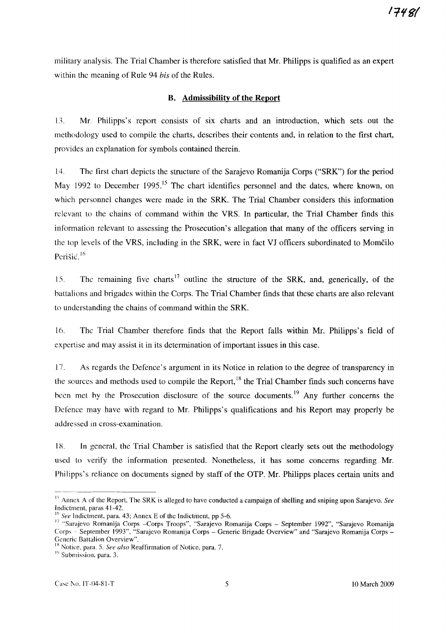military analysis. The Trial Chamber is therefore satisfied that Mr. Philipps is qualified as an expert within the meaning of Rule 94 *his* of the Rules.

### **B. Admissibility of the Report**

13. Mr. Philipps's report consists of six charts and an introduction, which sets out the methodology used to compile the charts, describes their contents and, in relation to the first chart, provides an explanation for symbols contained therein.

14. The first chart depicts the structure of the Sarajevo Romanija Corps ("SRK") for the period May 1992 to December 1995.<sup>15</sup> The chart identifies personnel and the dates, where known, on which personnel changes were made in the SRK. The Trial Chamber considers this information relevant to the chains of command within the VRS. In particular, the Trial Chamber finds this information relevant to assessing the Prosecution's allegation that many of the officers serving in the top levels of the VRS, including in the SRK, were in fact VI officers subordinated to Momcilo Perišić.<sup>16</sup>

15. The remaining five charts<sup>17</sup> outline the structure of the SRK, and, generically, of the battalions and brigades within the Corps. The Trial Chamber finds that these charts are also relevant to understanding the chains of command within the SRK.

16. The Trial Chamber therefore finds that the Report falls within Mr. Philipps's field of expertise and may assist it in its determination of important issues in this case.

17. As regards the Defence's argument in its Notice in relation to the degree of transparency in the sources and methods used to compile the Report, $^{18}$  the Trial Chamber finds such concerns have been met by the Prosecution disclosure of the source documents.<sup>19</sup> Any further concerns the Defence may have with regard to Mr. Philipps's qualifications and his Report may properly be addressed in cross-examination.

1X. In general, the Trial Chamber is satisfied that the Report clearly sets out the methodology used to verify the information presented. Nonetheless, it has some concerns regarding Mr. Philipps's reliance on documents signed by staff of the OTP. Mr. Philipps places certain units and

<sup>&</sup>lt;sup>15</sup> Annex A of the Report. The SRK is alleged to have conducted a campaign of shelling and sniping upon Sarajevo. See Indictment, paras 41-42.

See Indictment, para. 43; Annex E of the Indictment, pp 5-6.

<sup>17</sup> "Sarajevo Romanija Corps -Corps Troops", "Sarajevo Romanija Corps - September 1992", "Sarajevo Romanija Corps- September 1993", "Sarajevo Romanija Corps - Generic Brigade Overview" and "Sarajevo Romanija Corps - Generic Battalion Overview".

<sup>&</sup>lt;sup>18</sup> Notice, para. 5. *See also* Reaffirmation of Notice, para. 7.

<sup>&</sup>lt;sup>19</sup> Submission, para. 3.